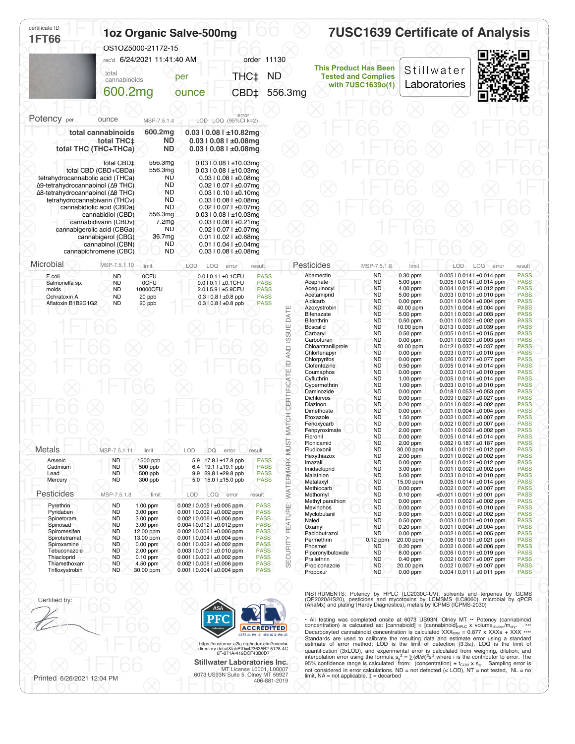| OS1OZ5000-21172-15<br>rec'd 6/24/2021 11:41:40 AM<br>cannabinoids<br>600.2mg<br>MSP-7.5.1.4<br>600.2mg<br>total cannabinoids<br>ND.<br>total THC <sup>+</sup><br>total THC (THC+THCa)<br><b>ND</b><br>total CBD‡<br>556.3mg<br>total CBD (CBD+CBDa)<br>556.3mg<br>ND<br>tetrahydrocannabolic acid (THCa) | per<br>ounce<br>error<br>LOD LOQ (95%Cl k=2)<br>$0.03$   $0.08$   $\pm 10.82$ mg<br>$0.03$   $0.08$   $\pm 0.08$ mg<br>$0.03$   $0.08$   $\pm 0.08$ mg<br>$0.03$   $0.08$   $\pm$ 10.03mg                                                                                                                                                                | order 11130<br>THC‡<br>CBD <sup>+</sup>                                                                                   | <b>ND</b><br>556.3mg                                                                                                                                                                                                                                                                           | <b>This Product Has Been</b><br><b>Tested and Complies</b><br>with 7USC1639o(1)                                                                                                                                                                                                                                                                                                                                                                                                                                                                                                                | Stillwater<br>Laboratories                                                                                                                                                                                                                                                                                                                                                                                                                                                                                                                                                                                                |                                       |       |                                                                                                                                                                                                                                                                                                                                                                                                                                                                                                                                                                                                                                                                                                                                                                                                                                                                                                                                                                                                                                                                                                                                                                                                                                                                                                                                                                                                                                                                                                                                                                                                                                                                                                                                                                                                                                                                                                                                                                                                                                                                                                                                                                                                                                                                                                                                                                                                                                                                                                                                                                                                                                                                                                                                                                                                                                                                                                                                                                                                 |
|----------------------------------------------------------------------------------------------------------------------------------------------------------------------------------------------------------------------------------------------------------------------------------------------------------|----------------------------------------------------------------------------------------------------------------------------------------------------------------------------------------------------------------------------------------------------------------------------------------------------------------------------------------------------------|---------------------------------------------------------------------------------------------------------------------------|------------------------------------------------------------------------------------------------------------------------------------------------------------------------------------------------------------------------------------------------------------------------------------------------|------------------------------------------------------------------------------------------------------------------------------------------------------------------------------------------------------------------------------------------------------------------------------------------------------------------------------------------------------------------------------------------------------------------------------------------------------------------------------------------------------------------------------------------------------------------------------------------------|---------------------------------------------------------------------------------------------------------------------------------------------------------------------------------------------------------------------------------------------------------------------------------------------------------------------------------------------------------------------------------------------------------------------------------------------------------------------------------------------------------------------------------------------------------------------------------------------------------------------------|---------------------------------------|-------|-------------------------------------------------------------------------------------------------------------------------------------------------------------------------------------------------------------------------------------------------------------------------------------------------------------------------------------------------------------------------------------------------------------------------------------------------------------------------------------------------------------------------------------------------------------------------------------------------------------------------------------------------------------------------------------------------------------------------------------------------------------------------------------------------------------------------------------------------------------------------------------------------------------------------------------------------------------------------------------------------------------------------------------------------------------------------------------------------------------------------------------------------------------------------------------------------------------------------------------------------------------------------------------------------------------------------------------------------------------------------------------------------------------------------------------------------------------------------------------------------------------------------------------------------------------------------------------------------------------------------------------------------------------------------------------------------------------------------------------------------------------------------------------------------------------------------------------------------------------------------------------------------------------------------------------------------------------------------------------------------------------------------------------------------------------------------------------------------------------------------------------------------------------------------------------------------------------------------------------------------------------------------------------------------------------------------------------------------------------------------------------------------------------------------------------------------------------------------------------------------------------------------------------------------------------------------------------------------------------------------------------------------------------------------------------------------------------------------------------------------------------------------------------------------------------------------------------------------------------------------------------------------------------------------------------------------------------------------------------------------|
|                                                                                                                                                                                                                                                                                                          |                                                                                                                                                                                                                                                                                                                                                          |                                                                                                                           |                                                                                                                                                                                                                                                                                                |                                                                                                                                                                                                                                                                                                                                                                                                                                                                                                                                                                                                |                                                                                                                                                                                                                                                                                                                                                                                                                                                                                                                                                                                                                           |                                       |       |                                                                                                                                                                                                                                                                                                                                                                                                                                                                                                                                                                                                                                                                                                                                                                                                                                                                                                                                                                                                                                                                                                                                                                                                                                                                                                                                                                                                                                                                                                                                                                                                                                                                                                                                                                                                                                                                                                                                                                                                                                                                                                                                                                                                                                                                                                                                                                                                                                                                                                                                                                                                                                                                                                                                                                                                                                                                                                                                                                                                 |
|                                                                                                                                                                                                                                                                                                          |                                                                                                                                                                                                                                                                                                                                                          |                                                                                                                           |                                                                                                                                                                                                                                                                                                |                                                                                                                                                                                                                                                                                                                                                                                                                                                                                                                                                                                                |                                                                                                                                                                                                                                                                                                                                                                                                                                                                                                                                                                                                                           |                                       |       |                                                                                                                                                                                                                                                                                                                                                                                                                                                                                                                                                                                                                                                                                                                                                                                                                                                                                                                                                                                                                                                                                                                                                                                                                                                                                                                                                                                                                                                                                                                                                                                                                                                                                                                                                                                                                                                                                                                                                                                                                                                                                                                                                                                                                                                                                                                                                                                                                                                                                                                                                                                                                                                                                                                                                                                                                                                                                                                                                                                                 |
|                                                                                                                                                                                                                                                                                                          |                                                                                                                                                                                                                                                                                                                                                          |                                                                                                                           |                                                                                                                                                                                                                                                                                                |                                                                                                                                                                                                                                                                                                                                                                                                                                                                                                                                                                                                |                                                                                                                                                                                                                                                                                                                                                                                                                                                                                                                                                                                                                           |                                       |       |                                                                                                                                                                                                                                                                                                                                                                                                                                                                                                                                                                                                                                                                                                                                                                                                                                                                                                                                                                                                                                                                                                                                                                                                                                                                                                                                                                                                                                                                                                                                                                                                                                                                                                                                                                                                                                                                                                                                                                                                                                                                                                                                                                                                                                                                                                                                                                                                                                                                                                                                                                                                                                                                                                                                                                                                                                                                                                                                                                                                 |
|                                                                                                                                                                                                                                                                                                          |                                                                                                                                                                                                                                                                                                                                                          |                                                                                                                           |                                                                                                                                                                                                                                                                                                |                                                                                                                                                                                                                                                                                                                                                                                                                                                                                                                                                                                                |                                                                                                                                                                                                                                                                                                                                                                                                                                                                                                                                                                                                                           |                                       |       |                                                                                                                                                                                                                                                                                                                                                                                                                                                                                                                                                                                                                                                                                                                                                                                                                                                                                                                                                                                                                                                                                                                                                                                                                                                                                                                                                                                                                                                                                                                                                                                                                                                                                                                                                                                                                                                                                                                                                                                                                                                                                                                                                                                                                                                                                                                                                                                                                                                                                                                                                                                                                                                                                                                                                                                                                                                                                                                                                                                                 |
|                                                                                                                                                                                                                                                                                                          |                                                                                                                                                                                                                                                                                                                                                          |                                                                                                                           |                                                                                                                                                                                                                                                                                                |                                                                                                                                                                                                                                                                                                                                                                                                                                                                                                                                                                                                |                                                                                                                                                                                                                                                                                                                                                                                                                                                                                                                                                                                                                           |                                       |       |                                                                                                                                                                                                                                                                                                                                                                                                                                                                                                                                                                                                                                                                                                                                                                                                                                                                                                                                                                                                                                                                                                                                                                                                                                                                                                                                                                                                                                                                                                                                                                                                                                                                                                                                                                                                                                                                                                                                                                                                                                                                                                                                                                                                                                                                                                                                                                                                                                                                                                                                                                                                                                                                                                                                                                                                                                                                                                                                                                                                 |
|                                                                                                                                                                                                                                                                                                          |                                                                                                                                                                                                                                                                                                                                                          |                                                                                                                           |                                                                                                                                                                                                                                                                                                |                                                                                                                                                                                                                                                                                                                                                                                                                                                                                                                                                                                                |                                                                                                                                                                                                                                                                                                                                                                                                                                                                                                                                                                                                                           |                                       |       |                                                                                                                                                                                                                                                                                                                                                                                                                                                                                                                                                                                                                                                                                                                                                                                                                                                                                                                                                                                                                                                                                                                                                                                                                                                                                                                                                                                                                                                                                                                                                                                                                                                                                                                                                                                                                                                                                                                                                                                                                                                                                                                                                                                                                                                                                                                                                                                                                                                                                                                                                                                                                                                                                                                                                                                                                                                                                                                                                                                                 |
|                                                                                                                                                                                                                                                                                                          |                                                                                                                                                                                                                                                                                                                                                          |                                                                                                                           |                                                                                                                                                                                                                                                                                                |                                                                                                                                                                                                                                                                                                                                                                                                                                                                                                                                                                                                |                                                                                                                                                                                                                                                                                                                                                                                                                                                                                                                                                                                                                           |                                       |       |                                                                                                                                                                                                                                                                                                                                                                                                                                                                                                                                                                                                                                                                                                                                                                                                                                                                                                                                                                                                                                                                                                                                                                                                                                                                                                                                                                                                                                                                                                                                                                                                                                                                                                                                                                                                                                                                                                                                                                                                                                                                                                                                                                                                                                                                                                                                                                                                                                                                                                                                                                                                                                                                                                                                                                                                                                                                                                                                                                                                 |
| Δ9-tetrahydrocannabinol (Δ9 THC)<br>ND.<br>Δ8-tetrahydrocannabinol (Δ8 THC)<br><b>ND</b><br>tetrahydrocannabivarin (THCv)<br>cannabidiolic acid (CBDa)<br>cannabidiol (CBD)<br>cannabidivarin (CBDv)<br>cannabigerolic acid (CBGa)<br>cannabigerol (CBG)                                                 | $0.03$   $0.08$   $\pm$ 10.03mg<br>$0.03$   $0.08$   $\pm 0.08$ mg<br>$0.02$   $0.07$   $\pm 0.07$ mg<br>$0.03$   $0.10$   $\pm 0.10$ mg                                                                                                                                                                                                                 |                                                                                                                           |                                                                                                                                                                                                                                                                                                |                                                                                                                                                                                                                                                                                                                                                                                                                                                                                                                                                                                                |                                                                                                                                                                                                                                                                                                                                                                                                                                                                                                                                                                                                                           |                                       |       |                                                                                                                                                                                                                                                                                                                                                                                                                                                                                                                                                                                                                                                                                                                                                                                                                                                                                                                                                                                                                                                                                                                                                                                                                                                                                                                                                                                                                                                                                                                                                                                                                                                                                                                                                                                                                                                                                                                                                                                                                                                                                                                                                                                                                                                                                                                                                                                                                                                                                                                                                                                                                                                                                                                                                                                                                                                                                                                                                                                                 |
| cannabichromene (CBC)                                                                                                                                                                                                                                                                                    |                                                                                                                                                                                                                                                                                                                                                          |                                                                                                                           |                                                                                                                                                                                                                                                                                                |                                                                                                                                                                                                                                                                                                                                                                                                                                                                                                                                                                                                |                                                                                                                                                                                                                                                                                                                                                                                                                                                                                                                                                                                                                           |                                       |       |                                                                                                                                                                                                                                                                                                                                                                                                                                                                                                                                                                                                                                                                                                                                                                                                                                                                                                                                                                                                                                                                                                                                                                                                                                                                                                                                                                                                                                                                                                                                                                                                                                                                                                                                                                                                                                                                                                                                                                                                                                                                                                                                                                                                                                                                                                                                                                                                                                                                                                                                                                                                                                                                                                                                                                                                                                                                                                                                                                                                 |
| MSP-7.5.1.10<br>limit                                                                                                                                                                                                                                                                                    | LOD<br>LOQ<br>error                                                                                                                                                                                                                                                                                                                                      | result                                                                                                                    |                                                                                                                                                                                                                                                                                                |                                                                                                                                                                                                                                                                                                                                                                                                                                                                                                                                                                                                | limit                                                                                                                                                                                                                                                                                                                                                                                                                                                                                                                                                                                                                     | <b>LOD</b>                            | error | result<br><b>PASS</b>                                                                                                                                                                                                                                                                                                                                                                                                                                                                                                                                                                                                                                                                                                                                                                                                                                                                                                                                                                                                                                                                                                                                                                                                                                                                                                                                                                                                                                                                                                                                                                                                                                                                                                                                                                                                                                                                                                                                                                                                                                                                                                                                                                                                                                                                                                                                                                                                                                                                                                                                                                                                                                                                                                                                                                                                                                                                                                                                                                           |
| 0CFU<br>10000CFU<br>20 ppb<br>20 ppb<br>MSP-7.5.1.11<br>limit<br>1500 ppb<br>500 ppb<br>500 ppb<br>300 ppb                                                                                                                                                                                               | 0.010.11±0.1CFU<br>2.015.91±5.9CFU<br>$0.310.81 \pm 0.8$ ppb<br>0.3   0.8   ±0.8 ppb<br>LOD<br>LOQ<br>error<br>5.9   17.8   ±17.8 ppb<br>6.4   19.1   ±19.1 ppb<br>9.9   29.8   ±29.8 ppb<br>5.0   15.0   ±15.0 ppb                                                                                                                                      | result                                                                                                                    | Aldicarb<br>AND ISSUE DATE<br><b>Boscalid</b><br>Carbaryl<br>ATCH CERTIFICATE ID<br>Diazinon<br>⋍<br>Fipronil<br>Imazalil                                                                                                                                                                      | <b>ND</b><br><b>ND</b><br><b>ND</b><br><b>ND</b><br><b>ND</b><br><b>ND</b><br><b>ND</b><br><b>ND</b><br><b>ND</b><br><b>ND</b><br><b>ND</b><br><b>ND</b><br><b>ND</b><br><b>ND</b><br><b>ND</b><br><b>ND</b><br><b>ND</b><br><b>ND</b><br><b>ND</b><br><b>ND</b><br><b>ND</b><br><b>ND</b><br><b>ND</b><br><b>ND</b><br>ND.<br><b>ND</b><br><b>ND</b><br><b>ND</b><br><b>ND</b><br><b>ND</b><br><b>ND</b>                                                                                                                                                                                      | 5.00 ppm<br>4.00 ppm<br>5.00 ppm<br>$0.00$ ppm<br>40.00 ppm<br>5.00 ppm<br>$0.50$ ppm<br>10.00 ppm<br>$0.50$ ppm<br>$0.00$ ppm<br>40.00 ppm<br>$0.00$ ppm<br>$0.00$ ppm<br>$0.50$ ppm<br>$0.00$ ppm<br>$1.00$ ppm<br>$1.00$ ppm<br>$0.00$ ppm<br>$0.00$ ppm<br>$0.20$ ppm<br>$0.00$ ppm<br>1.50 ppm<br>$0.00$ ppm<br>2.00 ppm<br>$0.00$ ppm<br>2.00 ppm<br>30.00 ppm<br>2.00 ppm<br>$0.00$ ppm<br>3.00 ppm<br>5.00 ppm                                                                                                                                                                                                    |                                       |       | <b>PASS</b><br><b>PASS</b><br><b>PASS</b><br><b>PASS</b><br><b>PASS</b><br><b>PASS</b><br><b>PASS</b><br><b>PASS</b><br><b>PASS</b><br><b>PASS</b><br><b>PASS</b><br><b>PASS</b><br><b>PASS</b><br><b>PASS</b><br><b>PASS</b><br><b>PASS</b><br><b>PASS</b><br><b>PASS</b><br><b>PASS</b><br><b>PASS</b><br><b>PASS</b><br><b>PASS</b><br><b>PASS</b><br><b>PASS</b><br><b>PASS</b><br><b>PASS</b><br><b>PASS</b><br><b>PASS</b><br><b>PASS</b><br><b>PASS</b><br><b>PASS</b>                                                                                                                                                                                                                                                                                                                                                                                                                                                                                                                                                                                                                                                                                                                                                                                                                                                                                                                                                                                                                                                                                                                                                                                                                                                                                                                                                                                                                                                                                                                                                                                                                                                                                                                                                                                                                                                                                                                                                                                                                                                                                                                                                                                                                                                                                                                                                                                                                                                                                                                   |
|                                                                                                                                                                                                                                                                                                          |                                                                                                                                                                                                                                                                                                                                                          |                                                                                                                           |                                                                                                                                                                                                                                                                                                | <b>ND</b>                                                                                                                                                                                                                                                                                                                                                                                                                                                                                                                                                                                      | $0.00$ ppm                                                                                                                                                                                                                                                                                                                                                                                                                                                                                                                                                                                                                |                                       |       | <b>PASS</b><br><b>PASS</b><br><b>PASS</b>                                                                                                                                                                                                                                                                                                                                                                                                                                                                                                                                                                                                                                                                                                                                                                                                                                                                                                                                                                                                                                                                                                                                                                                                                                                                                                                                                                                                                                                                                                                                                                                                                                                                                                                                                                                                                                                                                                                                                                                                                                                                                                                                                                                                                                                                                                                                                                                                                                                                                                                                                                                                                                                                                                                                                                                                                                                                                                                                                       |
| 1.00 ppm<br>3.00 ppm<br>3.00 ppm<br>3.00 ppm<br>12.00 ppm<br>13.00 ppm<br>$0.00$ ppm<br>$2.00$ ppm<br>$0.10$ ppm<br>4.50 ppm<br>30.00 ppm                                                                                                                                                                | 0.002   0.005   ±0.005 ppm<br>$0.001$   $0.002$   $\pm 0.002$ ppm<br>0.002   0.006   ±0.006 ppm<br>0.004   0.012   ±0.012 ppm<br>0.002   0.006   ±0.006 ppm<br>0.001   0.004   ±0.004 ppm<br>0.001   0.002   ±0.002 ppm<br>$0.003$   $0.010$   $\pm 0.010$ ppm<br>0.001   0.002   ±0.002 ppm<br>0.002   0.006   ±0.006 ppm<br>0.001   0.004   ±0.004 ppm |                                                                                                                           | SECURITY FEATURE:<br>Naled<br>Oxamyl<br>Phosmet<br>Propoxur                                                                                                                                                                                                                                    | <b>ND</b><br><b>ND</b><br><b>ND</b><br><b>ND</b><br><b>ND</b><br><b>ND</b><br>$0.12$ ppm<br>ND<br><b>ND</b><br><b>ND</b><br><b>ND</b><br><b>ND</b>                                                                                                                                                                                                                                                                                                                                                                                                                                             | $0.00$ ppm<br>$0.00$ ppm<br>9.00 ppm<br>$0.50$ ppm<br>$0.20$ ppm<br>$0.00$ ppm<br>20.00 ppm<br>$0.20$ ppm<br>8.00 ppm<br>$0.40$ ppm<br>20.00 ppm<br>$0.00$ ppm                                                                                                                                                                                                                                                                                                                                                                                                                                                            |                                       |       | <b>PASS</b><br><b>PASS</b><br><b>PASS</b><br><b>PASS</b><br><b>PASS</b><br><b>PASS</b><br><b>PASS</b><br><b>PASS</b><br><b>PASS</b><br><b>PASS</b><br><b>PASS</b><br><b>PASS</b>                                                                                                                                                                                                                                                                                                                                                                                                                                                                                                                                                                                                                                                                                                                                                                                                                                                                                                                                                                                                                                                                                                                                                                                                                                                                                                                                                                                                                                                                                                                                                                                                                                                                                                                                                                                                                                                                                                                                                                                                                                                                                                                                                                                                                                                                                                                                                                                                                                                                                                                                                                                                                                                                                                                                                                                                                |
|                                                                                                                                                                                                                                                                                                          |                                                                                                                                                                                                                                                                                                                                                          |                                                                                                                           |                                                                                                                                                                                                                                                                                                |                                                                                                                                                                                                                                                                                                                                                                                                                                                                                                                                                                                                |                                                                                                                                                                                                                                                                                                                                                                                                                                                                                                                                                                                                                           |                                       |       |                                                                                                                                                                                                                                                                                                                                                                                                                                                                                                                                                                                                                                                                                                                                                                                                                                                                                                                                                                                                                                                                                                                                                                                                                                                                                                                                                                                                                                                                                                                                                                                                                                                                                                                                                                                                                                                                                                                                                                                                                                                                                                                                                                                                                                                                                                                                                                                                                                                                                                                                                                                                                                                                                                                                                                                                                                                                                                                                                                                                 |
|                                                                                                                                                                                                                                                                                                          | cannabinol (CBN)<br><b>OCFU</b><br>MSP-7.5.1.8<br>limit                                                                                                                                                                                                                                                                                                  | ND.<br><b>ND</b><br>556.3mg<br>7.2mg<br>ND.<br>36.7mg<br>ND<br><b>ND</b><br>0.010.11±0.1CFU<br>LOD<br><b>LOQ</b><br>error | $0.03$   $0.08$   $\pm 0.08$ mg<br>$0.02$   $0.07$   $\pm 0.07$ mg<br>$0.03$   $0.08$   $\pm$ 10.03mg<br>$0.03$   $0.08$   $\pm 0.21$ mg<br>$0.02$   $0.07$   $\pm 0.07$ mg<br>$0.01$   $0.02$   $\pm 0.68$ mg<br>$0.01$   $0.04$   $\pm 0.04$ mg<br>$0.03$   $0.08$   $\pm 0.08$ mg<br>result | <b>PASS</b><br><b>PASS</b><br><b>PASS</b><br><b>PASS</b><br><b>PASS</b><br>Bifenthrin<br>WATERMARK MUST<br><b>PASS</b><br><b>PASS</b><br><b>PASS</b><br><b>PASS</b><br>Metalaxvl<br><b>PASS</b><br><b>PASS</b><br><b>PASS</b><br><b>PASS</b><br><b>PASS</b><br><b>PASS</b><br><b>PASS</b><br><b>PASS</b><br><b>PASS</b><br><b>PASS</b><br><b>PASS</b><br><b>ACCREDITED</b><br>CERT #s 4961.01, 4961.02 & 4961.03<br>https://customer.a2la.org/index.cfm?event=<br>directory.detail&labPID=423635B2-5128-4C<br>6F-871A-419DCF43B0D7<br>Stillwater Laboratories Inc.<br>MT License L0001, L00007 | Pesticides<br>MSP-7.5.1.8<br>Abamectin<br><b>ND</b><br>Acephate<br>Acequinocyl<br>Acetamiprid<br>Azoxystrobin<br>Bifenazate<br>Carbofuran<br>Chloantraniliprole<br>Chlorfenapyr<br>Chlorpyrifos<br>Clofentezine<br>Coumaphos<br>Cyfluthrin<br>Cypermethrin<br>Daminozide<br><b>Dichlorvos</b><br>Dimethoate<br>Etoxazole<br>Fenoxycarb<br>Fenpyroximate<br>Flonicamid<br>Fludioxonil<br>Hexythiazox<br>Imidacloprid<br>Malathion<br><b>ND</b><br>Methiocarb<br><b>ND</b><br>Methomyl<br>Methyl parathion<br>Mevinphos<br>Myclobutanil<br>Paclobutrazol<br>Permethrin<br>Piperonylbutoxide<br>Prallethrin<br>Propiconazole | $0.30$ ppm<br>15.00 ppm<br>$0.10$ ppm |       | LOQ <sup>1</sup><br>$0.00510.0141 \pm 0.014$ ppm<br>0.005   0.014   ±0.014 ppm<br>$0.004$   $0.012$   $\pm 0.012$ ppm<br>$0.003$   $0.010$   $\pm 0.010$ ppm<br>$0.001$   0.004   ±0.004 ppm<br>0.001   0.004   ±0.004 ppm<br>$0.001$   $0.003$   $\pm 0.003$ ppm<br>0.001   0.002   ±0.002 ppm<br>0.013   0.039   ±0.039 ppm<br>$0.005$   $0.015$   $\pm 0.015$ ppm<br>0.001   0.003   ±0.003 ppm<br>0.012   0.037   ±0.037 ppm<br>$0.003$   $0.010$   $\pm 0.010$ ppm<br>0.026   0.077   ±0.077 ppm<br>$0.00510.0141 \pm 0.014$ ppm<br>$0.003$   $0.010$   $\pm 0.010$ ppm<br>$0.00510.0141 \pm 0.014$ ppm<br>0.003   0.010   ±0.010 ppm<br>0.018   0.053   ±0.053 ppm<br>$0.009$   $0.027$   $\pm 0.027$ ppm<br>$0.001$   $0.002$   $\pm 0.002$ ppm<br>$0.001$   $0.004$   $\pm 0.004$ ppm<br>0.002   0.007   ±0.007 ppm<br>0.002   0.007   ±0.007 ppm<br>0.001   0.002   ±0.002 ppm<br>0.005   0.014   ±0.014 ppm<br>0.062   0.187   ±0.187 ppm<br>$0.004$   $0.012$   $\pm 0.012$ ppm<br>$0.001$   $0.002$   $\pm 0.002$ ppm<br>$0.004$   $0.012$   $\pm 0.012$ ppm<br>$0.00110.0021 \pm 0.002$ ppm<br>$0.00310.0101 \pm 0.010$ ppm<br>$0.005$   $0.014$   $\pm 0.014$ ppm<br>$0.002$   $0.007$   $\pm 0.007$ ppm<br><0.001   0.001   ±0.001 ppm<br>$0.001$   $0.002$   $\pm 0.002$ ppm<br>$0.003$   $0.010$   $\pm 0.010$ ppm<br>0.001   0.002   ±0.002 ppm<br>$0.003$   $0.010$   $\pm 0.010$ ppm<br>$0.001$   $0.004$   $\pm 0.004$ ppm<br>0.002   0.005   ±0.005 ppm<br>$0.006$   $0.019$   $\pm 0.021$ ppm<br>0.002   0.006   ±0.006 ppm<br>$0.006$   $0.019$   $\pm 0.019$ ppm<br>$0.002$   $0.007$   $\pm 0.007$ ppm<br>$0.002$   $0.007$   $\pm 0.007$ ppm<br>$0.004$   $0.011$   $\pm 0.011$ ppm<br>INSTRUMENTS: Potency by HPLC (LC2030C-UV), solvents and terpenes by GCMS<br>(QP2020/HS20), pesticides and mycotoxins by LCMSMS (LC8060), microbial by qPCR<br>(AriaMx) and plating (Hardy Diagnostics), metals by ICPMS (ICPMS-2030)<br>• All testing was completed onsite at 6073 US93N, Olney MT • Potency (cannabinoid<br>concentration) is calcuated as: [cannabioid] = $[canonical]_{HPLC}$ x volume <sub>dilution</sub> /m <sub>dry</sub> .<br>Decarboxyted cannabinoid concentration is calculated $XXXtotal = 0.877$ x XXXa + XXX<br>Standards are used to calibrate the resulting data and estimate error using a standard<br>estimate of error method; LOD is the limit of detection (3.3s), LOQ is the limit of<br>quantification (3xLOD), and experimental error is calculated from weighing, dilution, and<br>interpolation error using the formula $s_g^2 = \sum (\partial f/\partial i)^2 s_i^2$ where i is the contributor to error. The<br>95% confidence range is calculated from: (concentration) $\pm t_{\text{Cl}_20} \times s_0$ . Sampling error is<br>not considered in error calculations. $ND = not detected \leq LOD$ , $NT = not tested$ , $NL = no$<br>6073 US93N Suite 5, Olney MT 59927<br>limit, $NA = not$ applicable. $\ddagger =$ decarbed |

Printed 6/26/2021 12:04 PM<br>  $\bullet$  00  $\bullet$  00  $\bullet$  00  $\bullet$  00  $\bullet$  1 00  $\bullet$  00  $\bullet$  00  $\bullet$  00  $\bullet$  00  $\bullet$  00  $\bullet$  00  $\bullet$  00  $\bullet$  00  $\bullet$  00  $\bullet$  00  $\bullet$  00  $\bullet$  00  $\bullet$  00  $\bullet$  00 

**Stillwater Laboratories Inc.**<br>MT License L0001, L00007<br>A06-881-2019 A06-8927 Printed 6/26/2021 12:04 PM

Printed 6/26/2021 12:04 PM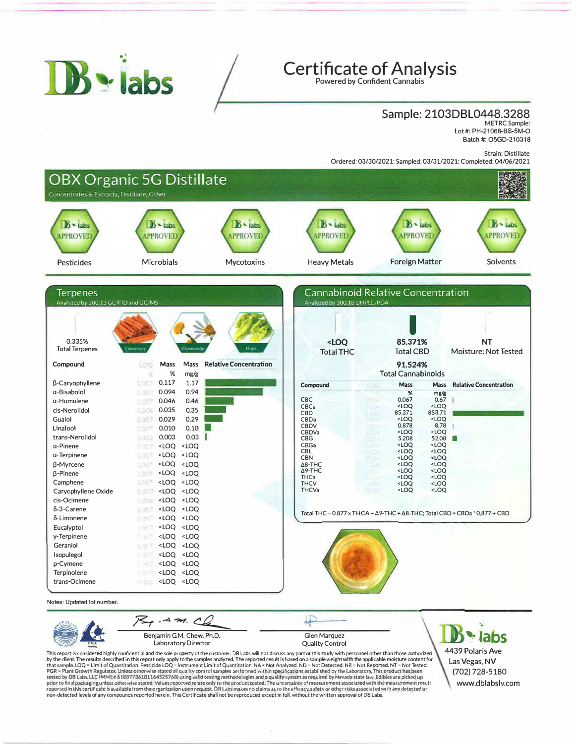

## **Certificate of Analysis**

Powered by Confident Cannabis

#### Sample: 2103DBL0448.3288 METRC Sample:

Lot#: PH-21068-BS-SM-O Batch#: OSGD-210318

Strain: Distillate

Ordered: 03/30/2021; Sampled: 03/31/2021; Completed: 04/06/2021



Benjamin G.M. Chew, Ph.D. Laboratory Director

Glen Marquez<br>Quality Control

Benjamin G.M. Chew, Ph.D.<br>This report of this study with personnel other than those authorized<br>by the dient. The results described in this report only apply to the samples analyzed. The reported result is based on a sample that sample. LOQ = Limit of Quantitation. Pesticide LOQ = Instrument Limit of Quantitation, NA = Not Analyzed. ND = Not Detected. NR = Not Reported. NT = Not Tested.<br>PGR = Plant Growth Regulator, Unless otherwise stated al tested by DB Labs, LLC (MME# 61887736101164525768) using valid testing methodologies and a qualify system as required by Nevada state law. Edibles are picked up<br>prlor to final packaging unless otherwise stated the interest non-detected levels of any compounds reported herein. This Certificate shall not be reproduced except in full, without the written approval of DB Labs.

4439 Polaris Ave Las Vegas, NV (702) 728-5180www.dblabslv.com